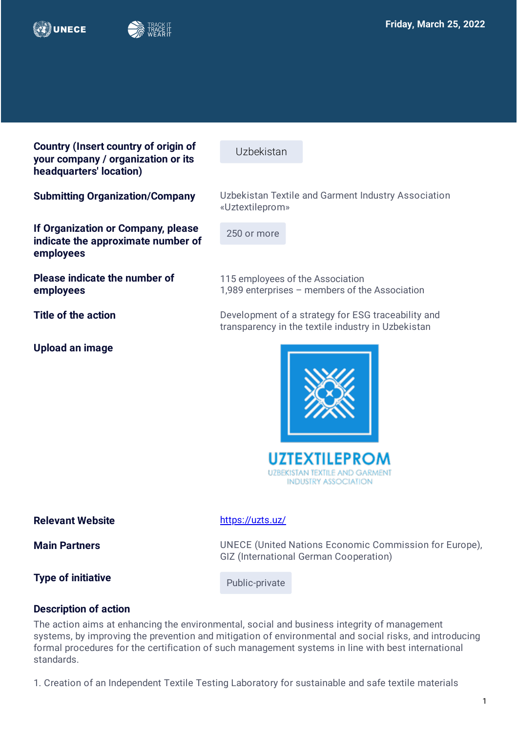



**Country (Insert country of origin of your company / organization or its headquarters' location)**

**If Organization or Company, please indicate the approximate number of**  Uzbekistan

**Submitting Organization/Company** Uzbekistan Textile and Garment Industry Association «Uztextileprom»

250 or more

**Please indicate the number of employees** 

**employees**

**Upload an image**

1,989 enterprises – members of the Association **Title of the action Development of a strategy for ESG traceability and** transparency in the textile industry in Uzbekistan

115 employees of the Association

**UZTEXTILEPROM UZBEKISTAN TEXTILE AND GARMENT INDUSTRY ASSOCIATION** 

**Relevant Website <https://uzts.uz/> Main Partners Example 20** UNECE (United Nations Economic Commission for Europe), GIZ (International German Cooperation) **Type of initiative Public-private** 

## **Description of action**

The action aims at enhancing the environmental, social and business integrity of management systems, by improving the prevention and mitigation of environmental and social risks, and introducing formal procedures for the certification of such management systems in line with best international standards.

1. Creation of an Independent Textile Testing Laboratory for sustainable and safe textile materials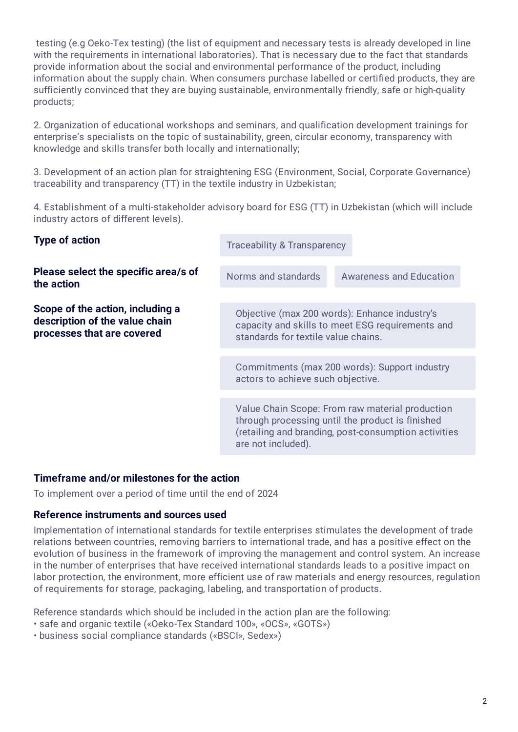testing (e.g Oeko-Tex testing) (the list of equipment and necessary tests is already developed in line with the requirements in international laboratories). That is necessary due to the fact that standards provide information about the social and environmental performance of the product, including information about the supply chain. When consumers purchase labelled or certified products, they are sufficiently convinced that they are buying sustainable, environmentally friendly, safe or high-quality products;

2. Organization of educational workshops and seminars, and qualification development trainings for enterprise's specialists on the topic of sustainability, green, circular economy, transparency with knowledge and skills transfer both locally and internationally;

3. Development of an action plan for straightening ESG (Environment, Social, Corporate Governance) traceability and transparency (TT) in the textile industry in Uzbekistan;

4. Establishment of a multi-stakeholder advisory board for ESG (TT) in Uzbekistan (which will include industry actors of different levels).

| <b>Traceability &amp; Transparency</b>                                                                                                                                            |                                |
|-----------------------------------------------------------------------------------------------------------------------------------------------------------------------------------|--------------------------------|
| Norms and standards                                                                                                                                                               | <b>Awareness and Education</b> |
| Objective (max 200 words): Enhance industry's<br>capacity and skills to meet ESG requirements and<br>standards for textile value chains.                                          |                                |
| Commitments (max 200 words): Support industry<br>actors to achieve such objective.                                                                                                |                                |
|                                                                                                                                                                                   |                                |
| Value Chain Scope: From raw material production<br>through processing until the product is finished<br>(retailing and branding, post-consumption activities<br>are not included). |                                |
|                                                                                                                                                                                   |                                |

## **Timeframe and/or milestones for the action**

To implement over a period of time until the end of 2024

## **Reference instruments and sources used**

Implementation of international standards for textile enterprises stimulates the development of trade relations between countries, removing barriers to international trade, and has a positive effect on the evolution of business in the framework of improving the management and control system. An increase in the number of enterprises that have received international standards leads to a positive impact on labor protection, the environment, more efficient use of raw materials and energy resources, regulation of requirements for storage, packaging, labeling, and transportation of products.

Reference standards which should be included in the action plan are the following:

- safe and organic textile («Oeko-Tex Standard 100», «OCS», «GOTS»)
- business social compliance standards («BSCI», Sedex»)